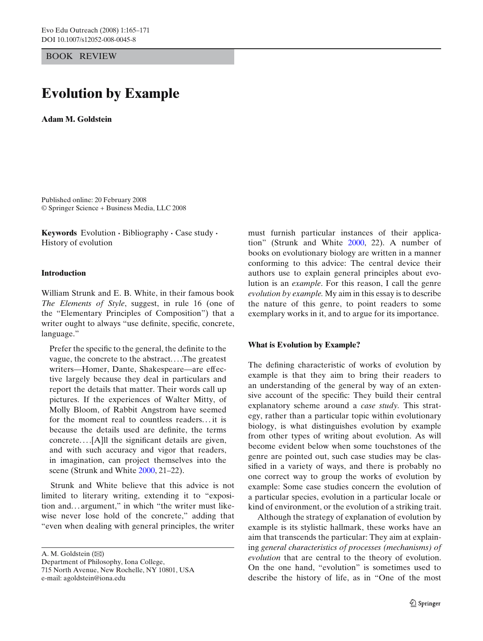BOOK REVIEW

# **Evolution by Example**

**Adam M. Goldstein**

Published online: 20 February 2008 © Springer Science + Business Media, LLC 2008

**Keywords** Evolution **·** Bibliography **·** Case study **·** History of evolution

# **Introduction**

William Strunk and E. B. White, in their famous book *The Elements of Style*, suggest, in rule 16 (one of the "Elementary Principles of Composition") that a writer ought to always "use definite, specific, concrete, language."

Prefer the specific to the general, the definite to the vague, the concrete to the abstract. . . .The greatest writers—Homer, Dante, Shakespeare—are effective largely because they deal in particulars and report the details that matter. Their words call up pictures. If the experiences of Walter Mitty, of Molly Bloom, of Rabbit Angstrom have seemed for the moment real to countless readers. . . it is because the details used are definite, the terms concrete. . . .[A]ll the significant details are given, and with such accuracy and vigor that readers, in imagination, can project themselves into the scene (Strunk and White [2000](#page-6-0), 21–22).

Strunk and White believe that this advice is not limited to literary writing, extending it to "exposition and. . . argument," in which "the writer must likewise never lose hold of the concrete," adding that "even when dealing with general principles, the writer

A. M. Goldstein  $(\boxtimes)$ 

Department of Philosophy, Iona College,

715 North Avenue, New Rochelle, NY 10801, USA

e-mail: agoldstein@iona.edu

must furnish particular instances of their application" (Strunk and Whit[e](#page-6-0) [2000](#page-6-0), 22). A number of books on evolutionary biology are written in a manner conforming to this advice: The central device their authors use to explain general principles about evolution is an *example*. For this reason, I call the genre *evolution by example.* My aim in this essay is to describe the nature of this genre, to point readers to some exemplary works in it, and to argue for its importance.

## **What is Evolution by Example?**

The defining characteristic of works of evolution by example is that they aim to bring their readers to an understanding of the general by way of an extensive account of the specific: They build their central explanatory scheme around a *case study.* This strategy, rather than a particular topic within evolutionary biology, is what distinguishes evolution by example from other types of writing about evolution. As will become evident below when some touchstones of the genre are pointed out, such case studies may be classified in a variety of ways, and there is probably no one correct way to group the works of evolution by example: Some case studies concern the evolution of a particular species, evolution in a particular locale or kind of environment, or the evolution of a striking trait.

Although the strategy of explanation of evolution by example is its stylistic hallmark, these works have an aim that transcends the particular: They aim at explaining *general characteristics of processes (mechanisms) of evolution* that are central to the theory of evolution. On the one hand, "evolution" is sometimes used to describe the history of life, as in "One of the most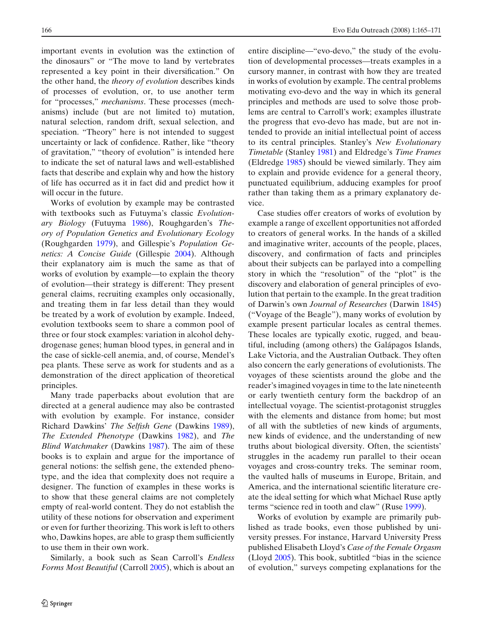important events in evolution was the extinction of the dinosaurs" or "The move to land by vertebrates represented a key point in their diversification." On the other hand, the *theory of evolution* describes kinds of processes of evolution, or, to use another term for "processes," *mechanisms*. These processes (mechanisms) include (but are not limited to) mutation, natural selection, random drift, sexual selection, and speciation. "Theory" here is not intended to suggest uncertainty or lack of confidence. Rather, like "theory of gravitation," "theory of evolution" is intended here to indicate the set of natural laws and well-established facts that describe and explain why and how the history of life has occurred as it in fact did and predict how it will occur in the future.

Works of evolution by example may be contrasted with textbooks such as Futuyma's classic *Evolutionary Biology* (Futuym[a](#page-6-0) [1986\)](#page-6-0), Roughgarden's *Theory of Population Genetics and Evolutionary Ecology* (Roughgarde[n](#page-6-0) [1979\)](#page-6-0), and Gillespie's *Population Genetics: A Concise Guide* (Gillespi[e](#page-6-0) [2004\)](#page-6-0). Although their explanatory aim is much the same as that of works of evolution by example—to explain the theory of evolution—their strategy is different: They present general claims, recruiting examples only occasionally, and treating them in far less detail than they would be treated by a work of evolution by example. Indeed, evolution textbooks seem to share a common pool of three or four stock examples: variation in alcohol dehydrogenase genes; human blood types, in general and in the case of sickle-cell anemia, and, of course, Mendel's pea plants. These serve as work for students and as a demonstration of the direct application of theoretical principles.

Many trade paperbacks about evolution that are directed at a general audience may also be contrasted with evolution by example. For instance, consider Richard Dawkins' *The Selfish Gene* (Dawkin[s](#page-6-0) [1989\)](#page-6-0), *The Extended Phenotype* (Dawkin[s](#page-6-0) [1982\)](#page-6-0), and *The Blind Watchmaker* (Dawkin[s](#page-6-0) [1987\)](#page-6-0). The aim of these books is to explain and argue for the importance of general notions: the selfish gene, the extended phenotype, and the idea that complexity does not require a designer. The function of examples in these works is to show that these general claims are not completely empty of real-world content. They do not establish the utility of these notions for observation and experiment or even for further theorizing. This work is left to others who, Dawkins hopes, are able to grasp them sufficiently to use them in their own work.

Similarly, a book such as Sean Carroll's *Endless Forms Most Beautiful* (Carrol[l](#page-6-0) [2005](#page-6-0)), which is about an entire discipline—"evo-devo," the study of the evolution of developmental processes—treats examples in a cursory manner, in contrast with how they are treated in works of evolution by example. The central problems motivating evo-devo and the way in which its general principles and methods are used to solve those problems are central to Carroll's work; examples illustrate the progress that evo-devo has made, but are not intended to provide an initial intellectual point of access to its central principles. Stanley's *New Evolutionary Timetable* (Stanle[y](#page-6-0) [1981](#page-6-0)) and Eldredge's *Time Frames* (Eldredg[e](#page-6-0) [1985](#page-6-0)) should be viewed similarly. They aim to explain and provide evidence for a general theory, punctuated equilibrium, adducing examples for proof rather than taking them as a primary explanatory device.

Case studies offer creators of works of evolution by example a range of excellent opportunities not afforded to creators of general works. In the hands of a skilled and imaginative writer, accounts of the people, places, discovery, and confirmation of facts and principles about their subjects can be parlayed into a compelling story in which the "resolution" of the "plot" is the discovery and elaboration of general principles of evolution that pertain to the example. In the great tradition of Darwin's own *Journal of Researches* (Darwi[n](#page-6-0) [1845](#page-6-0)) ("Voyage of the Beagle"), many works of evolution by example present particular locales as central themes. These locales are typically exotic, rugged, and beautiful, including (among others) the Galápagos Islands, Lake Victoria, and the Australian Outback. They often also concern the early generations of evolutionists. The voyages of these scientists around the globe and the reader's imagined voyages in time to the late nineteenth or early twentieth century form the backdrop of an intellectual voyage. The scientist-protagonist struggles with the elements and distance from home; but most of all with the subtleties of new kinds of arguments, new kinds of evidence, and the understanding of new truths about biological diversity. Often, the scientists' struggles in the academy run parallel to their ocean voyages and cross-country treks. The seminar room, the vaulted halls of museums in Europe, Britain, and America, and the international scientific literature create the ideal setting for which what Michael Ruse aptly terms "science red in tooth and claw" (Rus[e](#page-6-0) [1999\)](#page-6-0).

Works of evolution by example are primarily published as trade books, even those published by university presses. For instance, Harvard University Press published Elisabeth Lloyd's *Case of the Female Orgasm* (Lloy[d](#page-6-0) [2005\)](#page-6-0). This book, subtitled "bias in the science of evolution," surveys competing explanations for the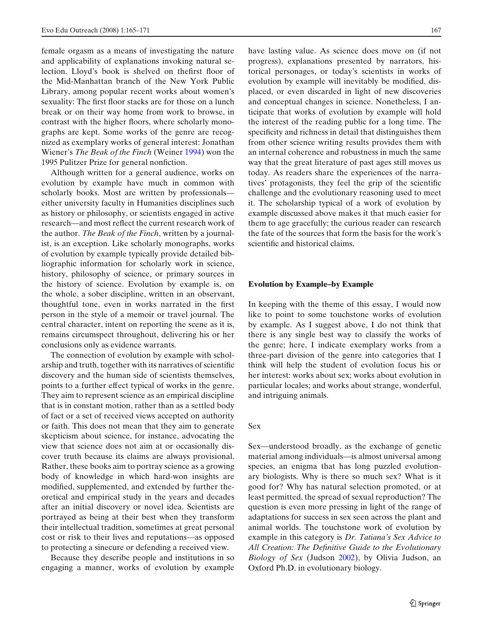female orgasm as a means of investigating the nature and applicability of explanations invoking natural selection. Lloyd's book is shelved on thefirst floor of the Mid-Manhattan branch of the New York Public Library, among popular recent works about women's sexuality: The first floor stacks are for those on a lunch break or on their way home from work to browse, in contrast with the higher floors, where scholarly monographs are kept. Some works of the genre are recognized as exemplary works of general interest: Jonathan Wiener's *The Beak of the Finch* (Weine[r](#page-6-0) [1994](#page-6-0)) won the 1995 Pulitzer Prize for general nonfiction.

Although written for a general audience, works on evolution by example have much in common with scholarly books. Most are written by professionals either university faculty in Humanities disciplines such as history or philosophy, or scientists engaged in active research—and most reflect the current research work of the author. *The Beak of the Finch*, written by a journalist, is an exception. Like scholarly monographs, works of evolution by example typically provide detailed bibliographic information for scholarly work in science, history, philosophy of science, or primary sources in the history of science. Evolution by example is, on the whole, a sober discipline, written in an observant, thoughtful tone, even in works narrated in the first person in the style of a memoir or travel journal. The central character, intent on reporting the scene as it is, remains circumspect throughout, delivering his or her conclusions only as evidence warrants.

The connection of evolution by example with scholarship and truth, together with its narratives of scientific discovery and the human side of scientists themselves, points to a further effect typical of works in the genre. They aim to represent science as an empirical discipline that is in constant motion, rather than as a settled body of fact or a set of received views accepted on authority or faith. This does not mean that they aim to generate skepticism about science, for instance, advocating the view that science does not aim at or occasionally discover truth because its claims are always provisional. Rather, these books aim to portray science as a growing body of knowledge in which hard-won insights are modified, supplemented, and extended by further theoretical and empirical study in the years and decades after an initial discovery or novel idea. Scientists are portrayed as being at their best when they transform their intellectual tradition, sometimes at great personal cost or risk to their lives and reputations—as opposed to protecting a sinecure or defending a received view.

Because they describe people and institutions in so engaging a manner, works of evolution by example have lasting value. As science does move on (if not progress), explanations presented by narrators, historical personages, or today's scientists in works of evolution by example will inevitably be modified, displaced, or even discarded in light of new discoveries and conceptual changes in science. Nonetheless, I anticipate that works of evolution by example will hold the interest of the reading public for a long time. The specificity and richness in detail that distinguishes them from other science writing results provides them with an internal coherence and robustness in much the same way that the great literature of past ages still moves us today. As readers share the experiences of the narratives' protagonists, they feel the grip of the scientific challenge and the evolutionary reasoning used to meet it. The scholarship typical of a work of evolution by example discussed above makes it that much easier for them to age gracefully; the curious reader can research the fate of the sources that form the basis for the work's scientific and historical claims.

## **Evolution by Example–by Example**

In keeping with the theme of this essay, I would now like to point to some touchstone works of evolution by example. As I suggest above, I do not think that there is any single best way to classify the works of the genre; here, I indicate exemplary works from a three-part division of the genre into categories that I think will help the student of evolution focus his or her interest: works about sex; works about evolution in particular locales; and works about strange, wonderful, and intriguing animals.

#### Sex

Sex—understood broadly, as the exchange of genetic material among individuals—is almost universal among species, an enigma that has long puzzled evolutionary biologists. Why is there so much sex? What is it good for? Why has natural selection promoted, or at least permitted, the spread of sexual reproduction? The question is even more pressing in light of the range of adaptations for success in sex seen across the plant and animal worlds. The touchstone work of evolution by example in this category is *Dr. Tatiana's Sex Advice to All Creation: The Definitive Guide to the Evolutionary Biology of Sex* (Judso[n](#page-6-0) [2002\)](#page-6-0), by Olivia Judson, an Oxford Ph.D. in evolutionary biology.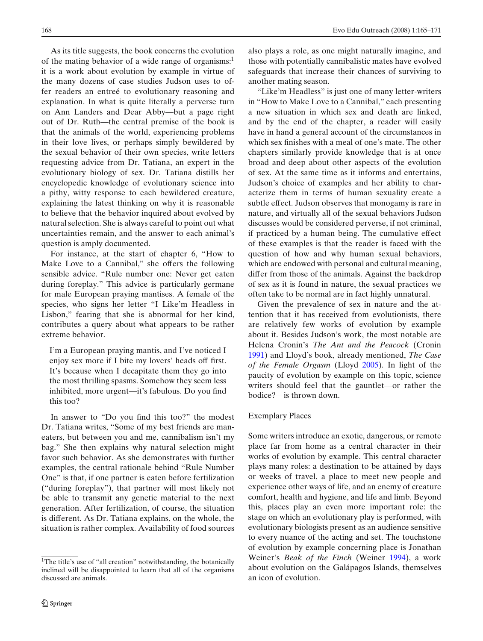As its title suggests, the book concerns the evolution of the mating behavior of a wide range of organisms:<sup>1</sup> it is a work about evolution by example in virtue of the many dozens of case studies Judson uses to offer readers an entreé to evolutionary reasoning and explanation. In what is quite literally a perverse turn on Ann Landers and Dear Abby—but a page right out of Dr. Ruth—the central premise of the book is that the animals of the world, experiencing problems in their love lives, or perhaps simply bewildered by the sexual behavior of their own species, write letters requesting advice from Dr. Tatiana, an expert in the evolutionary biology of sex. Dr. Tatiana distills her encyclopedic knowledge of evolutionary science into a pithy, witty response to each bewildered creature, explaining the latest thinking on why it is reasonable to believe that the behavior inquired about evolved by natural selection. She is always careful to point out what uncertainties remain, and the answer to each animal's question is amply documented.

For instance, at the start of chapter 6, "How to Make Love to a Cannibal," she offers the following sensible advice. "Rule number one: Never get eaten during foreplay." This advice is particularly germane for male European praying mantises. A female of the species, who signs her letter "I Like'm Headless in Lisbon," fearing that she is abnormal for her kind, contributes a query about what appears to be rather extreme behavior.

I'm a European praying mantis, and I've noticed I enjoy sex more if I bite my lovers' heads off first. It's because when I decapitate them they go into the most thrilling spasms. Somehow they seem less inhibited, more urgent—it's fabulous. Do you find this too?

In answer to "Do you find this too?" the modest Dr. Tatiana writes, "Some of my best friends are maneaters, but between you and me, cannibalism isn't my bag." She then explains why natural selection might favor such behavior. As she demonstrates with further examples, the central rationale behind "Rule Number One" is that, if one partner is eaten before fertilization ("during foreplay"), that partner will most likely not be able to transmit any genetic material to the next generation. After fertilization, of course, the situation is different. As Dr. Tatiana explains, on the whole, the situation is rather complex. Availability of food sources also plays a role, as one might naturally imagine, and those with potentially cannibalistic mates have evolved safeguards that increase their chances of surviving to another mating season.

"Like'm Headless" is just one of many letter-writers in "How to Make Love to a Cannibal," each presenting a new situation in which sex and death are linked, and by the end of the chapter, a reader will easily have in hand a general account of the circumstances in which sex finishes with a meal of one's mate. The other chapters similarly provide knowledge that is at once broad and deep about other aspects of the evolution of sex. At the same time as it informs and entertains, Judson's choice of examples and her ability to characterize them in terms of human sexuality create a subtle effect. Judson observes that monogamy is rare in nature, and virtually all of the sexual behaviors Judson discusses would be considered perverse, if not criminal, if practiced by a human being. The cumulative effect of these examples is that the reader is faced with the question of how and why human sexual behaviors, which are endowed with personal and cultural meaning, differ from those of the animals. Against the backdrop of sex as it is found in nature, the sexual practices we often take to be normal are in fact highly unnatural.

Given the prevalence of sex in nature and the attention that it has received from evolutionists, there are relatively few works of evolution by example about it. Besides Judson's work, the most notable are Helena Cronin's *The Ant and the Peacock* (Croni[n](#page-6-0) [1991](#page-6-0)) and Lloyd's book, already mentioned, *The Case of the Female Orgasm* (Lloy[d](#page-6-0) [2005\)](#page-6-0). In light of the paucity of evolution by example on this topic, science writers should feel that the gauntlet—or rather the bodice?—is thrown down.

## Exemplary Places

Some writers introduce an exotic, dangerous, or remote place far from home as a central character in their works of evolution by example. This central character plays many roles: a destination to be attained by days or weeks of travel, a place to meet new people and experience other ways of life, and an enemy of creature comfort, health and hygiene, and life and limb. Beyond this, places play an even more important role: the stage on which an evolutionary play is performed, with evolutionary biologists present as an audience sensitive to every nuance of the acting and set. The touchstone of evolution by example concerning place is Jonathan Weiner's *Beak of the Finch* (Weine[r](#page-6-0) [1994](#page-6-0)), a work about evolution on the Galápagos Islands, themselves an icon of evolution.

<sup>&</sup>lt;sup>1</sup>The title's use of "all creation" notwithstanding, the botanically inclined will be disappointed to learn that all of the organisms discussed are animals.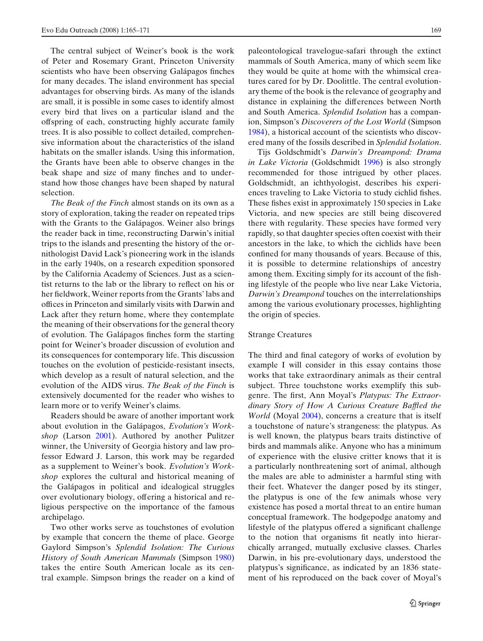The central subject of Weiner's book is the work of Peter and Rosemary Grant, Princeton University scientists who have been observing Galápagos finches for many decades. The island environment has special advantages for observing birds. As many of the islands are small, it is possible in some cases to identify almost every bird that lives on a particular island and the offspring of each, constructing highly accurate family trees. It is also possible to collect detailed, comprehensive information about the characteristics of the island habitats on the smaller islands. Using this information, the Grants have been able to observe changes in the beak shape and size of many finches and to understand how those changes have been shaped by natural selection.

*The Beak of the Finch* almost stands on its own as a story of exploration, taking the reader on repeated trips with the Grants to the Galápagos. Weiner also brings the reader back in time, reconstructing Darwin's initial trips to the islands and presenting the history of the ornithologist David Lack's pioneering work in the islands in the early 1940s, on a research expedition sponsored by the California Academy of Sciences. Just as a scientist returns to the lab or the library to reflect on his or her fieldwork, Weiner reports from the Grants' labs and offices in Princeton and similarly visits with Darwin and Lack after they return home, where they contemplate the meaning of their observations for the general theory of evolution. The Galápagos finches form the starting point for Weiner's broader discussion of evolution and its consequences for contemporary life. This discussion touches on the evolution of pesticide-resistant insects, which develop as a result of natural selection, and the evolution of the AIDS virus. *The Beak of the Finch* is extensively documented for the reader who wishes to learn more or to verify Weiner's claims.

Readers should be aware of another important work about evolution in the Galápagos, *Evolution's Workshop* (Larso[n](#page-6-0) [2001\)](#page-6-0). Authored by another Pulitzer winner, the University of Georgia history and law professor Edward J. Larson, this work may be regarded as a supplement to Weiner's book. *Evolution's Workshop* explores the cultural and historical meaning of the Galápagos in political and idealogical struggles over evolutionary biology, offering a historical and religious perspective on the importance of the famous archipelago.

Two other works serve as touchstones of evolution by example that concern the theme of place. George Gaylord Simpson's *Splendid Isolation: The Curious History of South American Mammals* (Simpso[n](#page-6-0) [1980](#page-6-0)) takes the entire South American locale as its central example. Simpson brings the reader on a kind of paleontological travelogue-safari through the extinct mammals of South America, many of which seem like they would be quite at home with the whimsical creatures cared for by Dr. Doolittle. The central evolutionary theme of the book is the relevance of geography and distance in explaining the differences between North and South America. *Splendid Isolation* has a companion, Simpson's *Discoverers of the Lost World* (Simpso[n](#page-6-0) [1984](#page-6-0)), a historical account of the scientists who discovered many of the fossils described in *Splendid Isolation*.

Tijs Goldschmidt's *Darwin's Dreampond: Drama in Lake Victoria* (Goldschmid[t](#page-6-0) [1996\)](#page-6-0) is also strongly recommended for those intrigued by other places. Goldschmidt, an ichthyologist, describes his experiences traveling to Lake Victoria to study cichlid fishes. These fishes exist in approximately 150 species in Lake Victoria, and new species are still being discovered there with regularity. These species have formed very rapidly, so that daughter species often coexist with their ancestors in the lake, to which the cichlids have been confined for many thousands of years. Because of this, it is possible to determine relationships of ancestry among them. Exciting simply for its account of the fishing lifestyle of the people who live near Lake Victoria, *Darwin's Dreampond* touches on the interrelationships among the various evolutionary processes, highlighting the origin of species.

#### Strange Creatures

The third and final category of works of evolution by example I will consider in this essay contains those works that take extraordinary animals as their central subject. Three touchstone works exemplify this subgenre. The first, Ann Moyal's *Platypus: The Extraordinary Story of How A Curious Creature Baffled the Wor[l](#page-6-0)d* (Moyal [2004](#page-6-0)), concerns a creature that is itself a touchstone of nature's strangeness: the platypus. As is well known, the platypus bears traits distinctive of birds and mammals alike. Anyone who has a minimum of experience with the elusive critter knows that it is a particularly nonthreatening sort of animal, although the males are able to administer a harmful sting with their feet. Whatever the danger posed by its stinger, the platypus is one of the few animals whose very existence has posed a mortal threat to an entire human conceptual framework. The hodgepodge anatomy and lifestyle of the platypus offered a significant challenge to the notion that organisms fit neatly into hierarchically arranged, mutually exclusive classes. Charles Darwin, in his pre-evolutionary days, understood the platypus's significance, as indicated by an 1836 statement of his reproduced on the back cover of Moyal's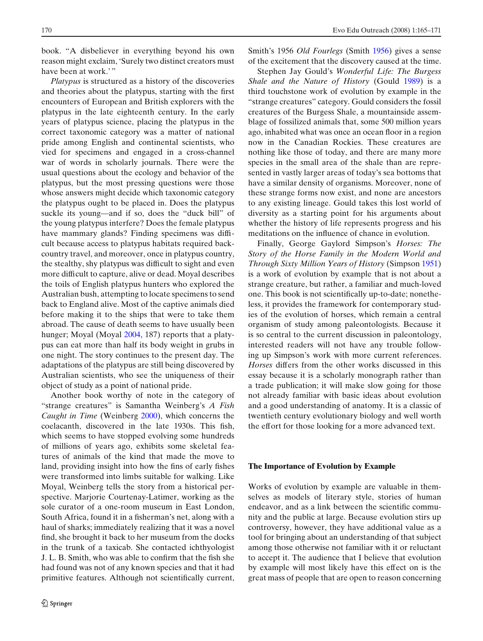book. "A disbeliever in everything beyond his own reason might exclaim, 'Surely two distinct creators must have been at work.'"

*Platypus* is structured as a history of the discoveries and theories about the platypus, starting with the first encounters of European and British explorers with the platypus in the late eighteenth century. In the early years of platypus science, placing the platypus in the correct taxonomic category was a matter of national pride among English and continental scientists, who vied for specimens and engaged in a cross-channel war of words in scholarly journals. There were the usual questions about the ecology and behavior of the platypus, but the most pressing questions were those whose answers might decide which taxonomic category the platypus ought to be placed in. Does the platypus suckle its young—and if so, does the "duck bill" of the young platypus interfere? Does the female platypus have mammary glands? Finding specimens was difficult because access to platypus habitats required backcountry travel, and moreover, once in platypus country, the stealthy, shy platypus was difficult to sight and even more difficult to capture, alive or dead. Moyal describes the toils of English platypus hunters who explored the Australian bush, attempting to locate specimens to send back to England alive. Most of the captive animals died before making it to the ships that were to take them abroad. The cause of death seems to have usually been hunger; Moyal (Moya[l](#page-6-0) [2004](#page-6-0), 187) reports that a platypus can eat more than half its body weight in grubs in one night. The story continues to the present day. The adaptations of the platypus are still being discovered by Australian scientists, who see the uniqueness of their object of study as a point of national pride.

Another book worthy of note in the category of "strange creatures" is Samantha Weinberg's *A Fish Caught in Time* (Weinber[g](#page-6-0) [2000](#page-6-0)), which concerns the coelacanth, discovered in the late 1930s. This fish, which seems to have stopped evolving some hundreds of millions of years ago, exhibits some skeletal features of animals of the kind that made the move to land, providing insight into how the fins of early fishes were transformed into limbs suitable for walking. Like Moyal, Weinberg tells the story from a historical perspective. Marjorie Courtenay-Latimer, working as the sole curator of a one-room museum in East London, South Africa, found it in a fisherman's net, along with a haul of sharks; immediately realizing that it was a novel find, she brought it back to her museum from the docks in the trunk of a taxicab. She contacted ichthyologist J. L. B. Smith, who was able to confirm that the fish she had found was not of any known species and that it had primitive features. Although not scientifically current, Smith's 1956 *Old Fourlegs* (Smit[h](#page-6-0) [1956\)](#page-6-0) gives a sense of the excitement that the discovery caused at the time.

Stephen Jay Gould's *Wonderful Life: The Burgess Shale and the Nature of History* (Goul[d](#page-6-0) [1989](#page-6-0)) is a third touchstone work of evolution by example in the "strange creatures" category. Gould considers the fossil creatures of the Burgess Shale, a mountainside assemblage of fossilized animals that, some 500 million years ago, inhabited what was once an ocean floor in a region now in the Canadian Rockies. These creatures are nothing like those of today, and there are many more species in the small area of the shale than are represented in vastly larger areas of today's sea bottoms that have a similar density of organisms. Moreover, none of these strange forms now exist, and none are ancestors to any existing lineage. Gould takes this lost world of diversity as a starting point for his arguments about whether the history of life represents progress and his meditations on the influence of chance in evolution.

Finally, George Gaylord Simpson's *Horses: The Story of the Horse Family in the Modern World and Through Sixty Million Years of History* (Simpso[n](#page-6-0) [1951](#page-6-0)) is a work of evolution by example that is not about a strange creature, but rather, a familiar and much-loved one. This book is not scientifically up-to-date; nonetheless, it provides the framework for contemporary studies of the evolution of horses, which remain a central organism of study among paleontologists. Because it is so central to the current discussion in paleontology, interested readers will not have any trouble following up Simpson's work with more current references. *Horses* differs from the other works discussed in this essay because it is a scholarly monograph rather than a trade publication; it will make slow going for those not already familiar with basic ideas about evolution and a good understanding of anatomy. It is a classic of twentieth century evolutionary biology and well worth the effort for those looking for a more advanced text.

#### **The Importance of Evolution by Example**

Works of evolution by example are valuable in themselves as models of literary style, stories of human endeavor, and as a link between the scientific community and the public at large. Because evolution stirs up controversy, however, they have additional value as a tool for bringing about an understanding of that subject among those otherwise not familiar with it or reluctant to accept it. The audience that I believe that evolution by example will most likely have this effect on is the great mass of people that are open to reason concerning